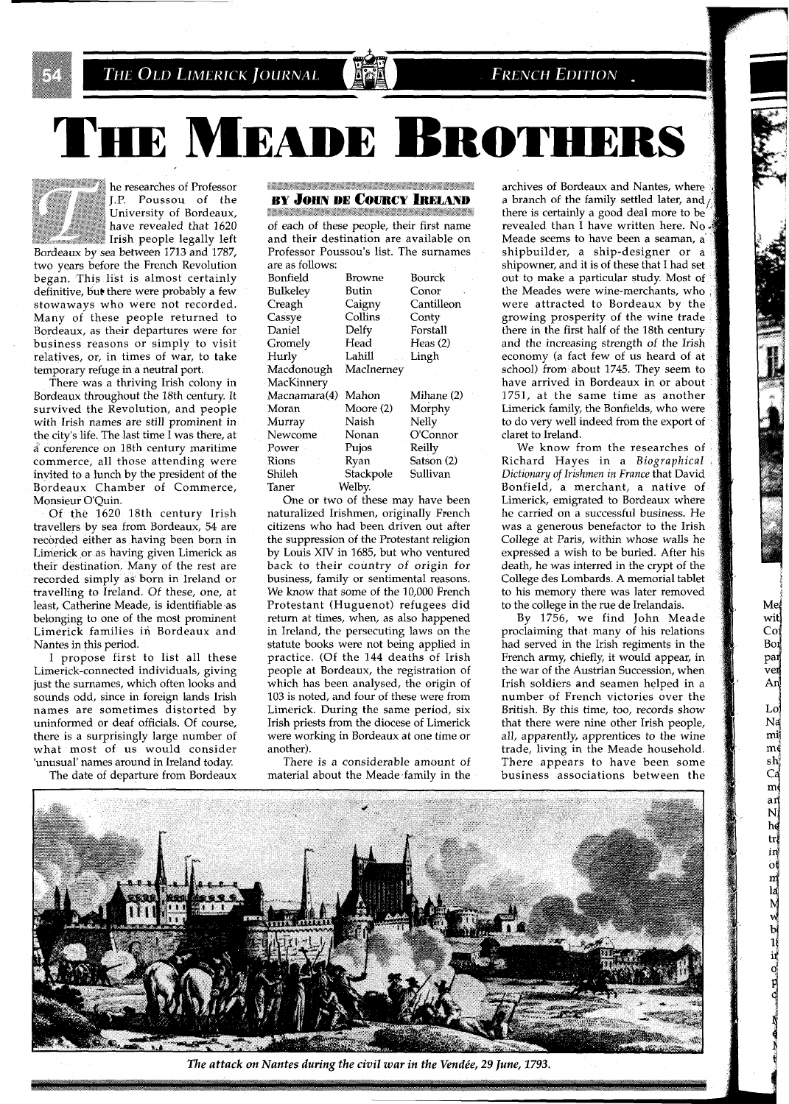

## **FRENCH EDITION**.

**THE MEADE BROTHE** 

**EXECUTE:** he researches of Professor J.P. Poussou of the University of Bordeaux, have revealed that 1620 Irish people legally left Bordeaux by sea between 1713 and 1787,

two years before the French Revolution began. This list is almost certainly definitive, but there were probably a few stowaways who were not recorded. Many of these people returned to Bordeaux, as their departures were for business reasons or simply to visit relatives, or, in times of war, to take temporary refuge in a neutral port.

There was a thriving Irish colony in Bordeaux throughout the 18th century. It survived the Revolution, and people with Irish names are still prominent in the city's life. The last time I was there, at a conference on 18th century maritime commerce, all those attending were invited to a lunch by the president of the Bordeaux Chamber of Commerce, Monsieur O'Quin.

Of the 1620 18th century Irish travellers by sea from Bordeaux, 54 are recorded either as having been born in Limerick or as having given Limerick as their destination. Many of the rest are recorded simply as born in Ireland or travelling to Ireland. Of these, one, at least, Catherine Meade, is identifiable as belonging to one of the most prominent Limerick families in Bordeaux and Nantes in this period.

I propose first to list all these Limerick-connected individuals, giving just the surnames, which often looks and sounds odd, since in foreign lands Irish names are sometimes distorted by uninformed or deaf officials. Of course, there is a surprisingly large number of what most of us would consider 'unusual' names around in Ireland today.

The date of departure from Bordeaux

## .<br>Thursday and the state of the state of the state of the state of the state of the state of the state of the st **BY JOHN DE COURCY IRELAND**

<u> Magazarta (Marekana) (Marekana)</u> of each of these people, their first name and their destination are available on Professor Poussou's list. The surnames are as follows:

| Bonfield          | Browne     | Bourck     |
|-------------------|------------|------------|
| <b>Bulkeley</b>   | Butin      | Conor      |
| Creagh            | Caigny     | Cantilleon |
| Cassye            | Collins -  | Conty      |
| Daniel            | Delfy      | Forstall   |
| Gromely           | Head       | Heas $(2)$ |
| Hurly             | Lahill     | Lingh      |
| Macdonough        | MacInerney |            |
| <b>MacKinnery</b> |            |            |
| Macnamara(4)      | Mahon      | Mihane (2) |
| Moran             | Moore (2)  | Morphy     |
| Murray            | Naish      | Nelly      |
| Newcome           | Nonan      | O'Connor   |
| Power             | Pujos      | Reilly     |
| Rions             | Ryan       | Satson (2) |
| Shileh            | Stackpole  | Sullivan   |
| Taner             | Welby.     |            |
|                   |            |            |

One or two of these may have been naturalized Irishmen, originally French citizens who had been driven out after the suppression of the Protestant religion by Louis XIV in 1685, but who ventured back to their country of origin for business, family or sentimental reasons. We know that some of the 10,000 French Protestant (Huguenot) refugees did return at times, when, as also happened in Ireland, the persecuting laws on the statute books were not being applied in practice. (Of the 144 deaths of Irish people at Bordeaux, the registration of which has been analysed, the origin of 103 is noted, and four of these were from Limerick. During the same period, six Irish priests from the diocese of Limerick were working in Bordeaux at one time or another).

There is a considerable amount of material about the Meade family in the

archives of Bordeaux and Nantes, where a branch of the family settled later, and / there is certainly a good deal more to be revealed than I have written here. No. Meade seems to have been a seaman, a shipbuilder, a ship-designer or a shipowner, and it is of these that I had set. out to make a particular study. Most of the Meades were wine-merchants, who were attracted to Bordeaux by the growing prosperity of the wine trade there in the first half of the 18th century and the increasing strength of the Irish economy (a fact few of us heard of at school) from about 1745. They seem to have arrived in Bordeaux in or about 1751, at the same time as another Limerick family, the Bonfields, who were to do very well indeed from the export of claret to Ireland.

We know from the researches of Richard Hayes in a Biographical Dictionary of Irishmen in France that David Bonfield, a merchant, a native of Limerick, emigrated to Bordeaux where he carried on a successful business. He was a generous benefactor to the Irish College at Paris, within whose walls he expressed a wish to be buried. After his death, he was interred in the crypt of the College des Lombards. A memorial tablet to his memory there was later removed to the college in the rue de Irelandais.

By 1756, we find John Meade proclaiming that many of his relations had served in the Irish regiments in the French army, chiefly, it would appear, in the war of the Austrian Succession, when Irish soldiers and seamen helped in a number of French victories over the British. By this time, too, records show that there were nine other Irish people, all, apparently, apprentices to the wine trade, living in the Meade household. There appears to have been some business associations between the



The attack on Nantes during the civil war in the Vendée, 29 June, 1793.

Me wit, Col Bor par .<br>verj An Lol Na mi  $\mathbf{m}$  $sh^{\dagger}_{i}$ Ca  $m($ an  $\overline{\mathbf{N}}$ hd  $tr$  $\frac{1}{10}$ m<br>la<br>M<br>w  $\frac{b}{1}$ <br> $\frac{1}{1}$ <br> $\frac{1}{1}$ <br> $\frac{1}{1}$ <br> $\frac{1}{1}$ <br> $\frac{1}{1}$